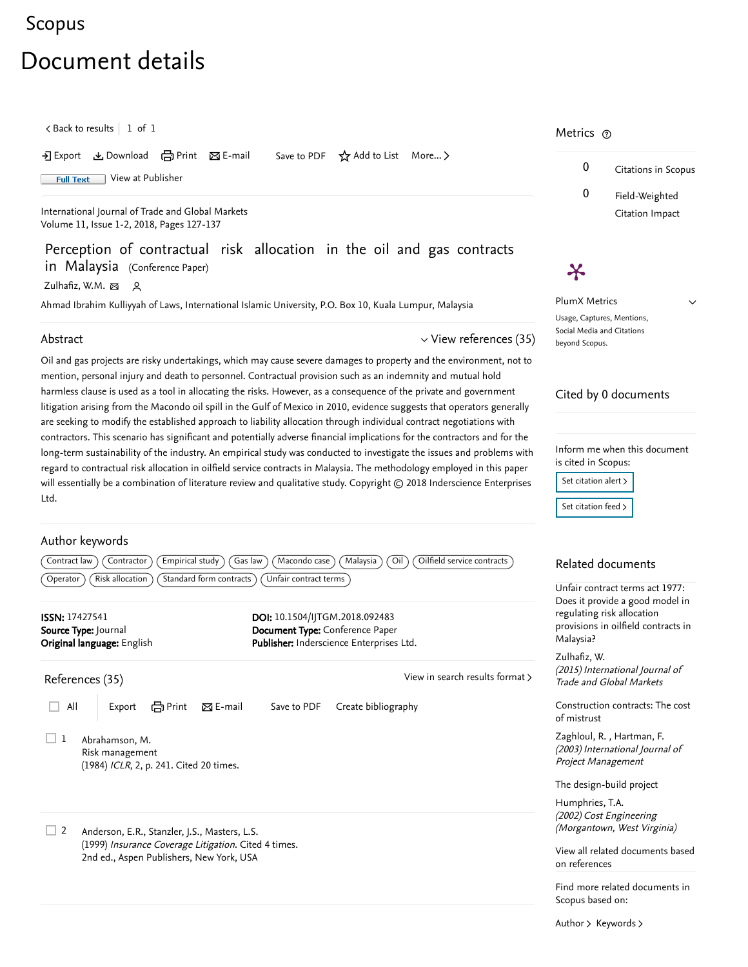## [Scopus](https://www.scopus.com/home.uri?zone=header&origin=searchbasic)

# Document details

 $\zeta$  [Back to results](https://www.scopus.com/results/results.uri?sort=plf-f&src=s&st1=Perception+of+contractual+risk+allocation+in+the+oil+and++gas&st2=&sid=ae5853b3ee99cf79e7516ea5c1bfa3c3&sot=b&sdt=b&sl=68&s=TITLE%28Perception+of+contractual+risk+allocation+in+the+oil+and++gas%29&offset=1&origin=recordpage)  $\vert$  1 of 1

Download → Print ⊠ E-mail Save to PDF ☆ Add to List More... >

Full Text [View at Publisher](https://www.scopus.com/redirect/linking.uri?targetURL=https%3a%2f%2fdoi.org%2f10.1504%2fIJTGM.2018.092483&locationID=1&categoryID=4&eid=2-s2.0-85049118786&issn=17427541&linkType=ViewAtPublisher&year=2018&origin=recordpage&dig=a6f1faa92725424e37e3f7564c361592&recordRank=)

[International Journal of Trade and Global Markets](https://www.scopus.com/sourceid/21100396322?origin=recordpage) Volume 11, Issue 1-2, 2018, Pages 127-137

Perception of contractual risk allocation in the oil and gas contracts in Malaysia (Conference Paper)

[Zulhafiz, W.M.](https://www.scopus.com/authid/detail.uri?authorId=56692896300&eid=2-s2.0-85049118786)

Ahmad Ibrahim Kulliyyah of Laws, International Islamic University, P.O. Box 10, Kuala Lumpur, Malaysia

#### Abstract

 $\vee$  [View references \(35\)](#page-0-0)

Oil and gas projects are risky undertakings, which may cause severe damages to property and the environment, not to mention, personal injury and death to personnel. Contractual provision such as an indemnity and mutual hold harmless clause is used as a tool in allocating the risks. However, as a consequence of the private and government litigation arising from the Macondo oil spill in the Gulf of Mexico in 2010, evidence suggests that operators generally are seeking to modify the established approach to liability allocation through individual contract negotiations with contractors. This scenario has significant and potentially adverse financial implications for the contractors and for the long-term sustainability of the industry. An empirical study was conducted to investigate the issues and problems with regard to contractual risk allocation in oilfield service contracts in Malaysia. The methodology employed in this paper will essentially be a combination of literature review and qualitative study. Copyright © 2018 Inderscience Enterprises Ltd.

#### Author keywords

Contract law  $(Contractor)$   $(\text{Empirical study})$   $(Gas law)$   $(Macondo case)$   $(Malaysia)$   $(Oil)$   $(Oilfield service contracts)$  $\widehat{O}$  Operator  $\widehat{O}$  (Risk allocation  $\widehat{O}$  (Standard form contracts  $\widehat{O}$  Unfair contract terms

<span id="page-0-0"></span>

| <b>ISSN: 17427541</b><br>Source Type: Journal<br>Original language: English                      | DOI: 10.1504/IJTGM.2018.092483<br>Document Type: Conference Paper<br>Publisher: Inderscience Enterprises Ltd. | regulating risk<br>provisions in c<br>Malaysia?  |
|--------------------------------------------------------------------------------------------------|---------------------------------------------------------------------------------------------------------------|--------------------------------------------------|
| References (35)                                                                                  | View in search results format >                                                                               | Zulhafiz, W.<br>(2015) Interna<br>Trade and Glo  |
| All<br>em Print<br>$\boxtimes$ E-mail<br>Export                                                  | Create bibliography<br>Save to PDF                                                                            | Construction o<br>of mistrust                    |
| Abrahamson, M.<br>Risk management<br>(1984) ICLR, 2, p. 241. Cited 20 times.                     |                                                                                                               | Zaghloul, R.,<br>(2003) Interna<br>Project Manag |
|                                                                                                  |                                                                                                               | The design-bu                                    |
| 2<br>Anderson, E.R., Stanzler, J.S., Masters, L.S.                                               |                                                                                                               | Humphries, T.<br>(2002) Cost Er<br>(Morgantown,  |
| (1999) Insurance Coverage Litigation. Cited 4 times.<br>2nd ed., Aspen Publishers, New York, USA |                                                                                                               | View all related<br>on references                |
|                                                                                                  |                                                                                                               | Find more rela<br>Scopus based                   |

### Metrics ල

Ӿ



 $\checkmark$ 

PlumX Metrics Usage, Captures, Mentions, Social Media and Citations beyond Scopus.

#### Cited by 0 documents

Inform me when this document is cited in Scopus:

Set citation alert >

[Set citation feed](https://www.scopus.com/results/rss/handler.uri?citeEid=2-s2.0-85049118786) >

#### Related documents

Unfair contract terms act 1977: Does it provide a good model in sk allocation oilfield contracts in

ational Journal of lobal Markets

contracts: The cost

, [Zaghloul, R.](https://www.scopus.com/authid/detail.uri?origin=recordpage&authorId=6506309124&zone=relatedDocuments) [Hartman, F.](https://www.scopus.com/authid/detail.uri?origin=recordpage&authorId=7006629056&zone=relatedDocuments) ational Journal of agement

uild project

ngineering n, West Virginia) T.A.

ed documents based

elated documents in d on:

[Author](https://www.scopus.com/search/submit/mlt.uri?eid=2-s2.0-85049118786&src=s&all=true&origin=recordpage&method=aut&zone=relatedDocuments) > [Keywords](https://www.scopus.com/search/submit/mlt.uri?eid=2-s2.0-85049118786&src=s&all=true&origin=recordpage&method=key&zone=relatedDocuments) >